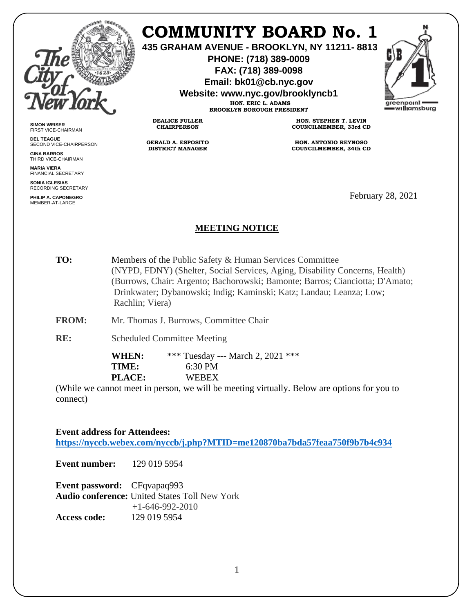

# **COMMUNITY BOARD No. 1**

**435 GRAHAM AVENUE - BROOKLYN, NY 11211- 8813**

**PHONE: (718) 389-0009 FAX: (718) 389-0098**

**Email: bk01@cb.nyc.gov**

**Website: www.nyc.gov/brooklyncb1**

**HON. ERIC L. ADAMS BROOKLYN BOROUGH PRESIDENT**

**DEALICE FULLER CHAIRPERSON**

**GERALD A. ESPOSITO DISTRICT MANAGER**

**HON. STEPHEN T. LEVIN COUNCILMEMBER, 33rd CD**

**HON. ANTONIO REYNOSO COUNCILMEMBER, 34th CD**

February 28, 2021

## **MEETING NOTICE**

**TO:** Members of the Public Safety & Human Services Committee (NYPD, FDNY) (Shelter, Social Services, Aging, Disability Concerns, Health) (Burrows, Chair: Argento; Bachorowski; Bamonte; Barros; Cianciotta; D'Amato; Drinkwater; Dybanowski; Indig; Kaminski; Katz; Landau; Leanza; Low; Rachlin; Viera)

**FROM:** Mr. Thomas J. Burrows, Committee Chair

**RE:** Scheduled Committee Meeting

**WHEN:** \*\*\* Tuesday --- March 2, 2021 \*\*\* **TIME:** 6:30 PM **PLACE:** WEBEX

(While we cannot meet in person, we will be meeting virtually. Below are options for you to connect)

#### **Event address for Attendees:**

**<https://nyccb.webex.com/nyccb/j.php?MTID=me120870ba7bda57feaa750f9b7b4c934>**

**Event number:** 129 019 5954

**Event password:** CFqvapaq993 **Audio conference:** United States Toll New York +1-646-992-2010 **Access code:** 129 019 5954



**SIMON WEISER** FIRST VICE-CHAIRMAN **DEL TEAGUE** SECOND VICE-CHAIRPERSON

**GINA BARROS** THIRD VICE-CHAIRMAN

**MARIA VIERA** FINANCIAL SECRETARY

**SONIA IGLESIAS** RECORDING SECRETARY

**PHILIP A. CAPONEGRO** MEMBER-AT-LARGE